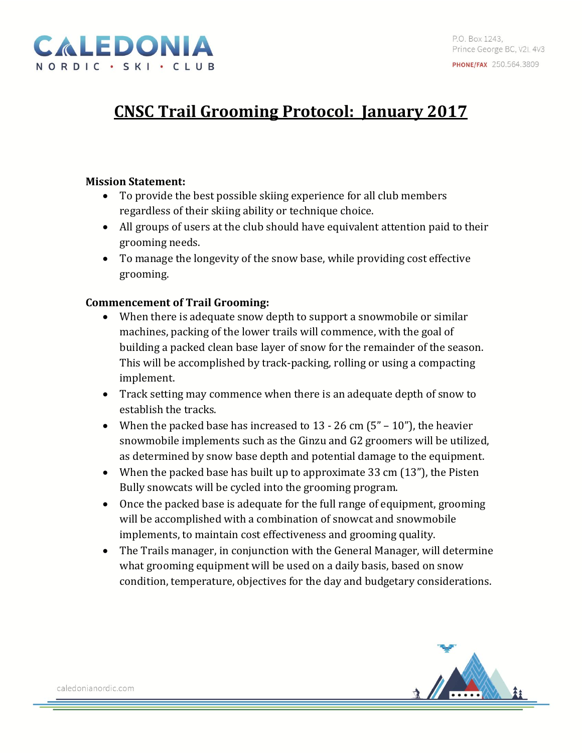

# **CNSC Trail Grooming Protocol: January 2017**

### **Mission Statement:**

- To provide the best possible skiing experience for all club members regardless of their skiing ability or technique choice.
- All groups of users at the club should have equivalent attention paid to their grooming needs.
- To manage the longevity of the snow base, while providing cost effective grooming.

### **Commencement of Trail Grooming:**

- When there is adequate snow depth to support a snowmobile or similar machines, packing of the lower trails will commence, with the goal of building a packed clean base layer of snow for the remainder of the season. This will be accomplished by track-packing, rolling or using a compacting implement.
- Track setting may commence when there is an adequate depth of snow to establish the tracks.
- When the packed base has increased to  $13 26$  cm  $(5'' 10'')$ , the heavier snowmobile implements such as the Ginzu and G2 groomers will be utilized, as determined by snow base depth and potential damage to the equipment.
- When the packed base has built up to approximate 33 cm  $(13")$ , the Pisten Bully snowcats will be cycled into the grooming program.
- Once the packed base is adequate for the full range of equipment, grooming will be accomplished with a combination of snowcat and snowmobile implements, to maintain cost effectiveness and grooming quality.
- The Trails manager, in conjunction with the General Manager, will determine what grooming equipment will be used on a daily basis, based on snow condition, temperature, objectives for the day and budgetary considerations.

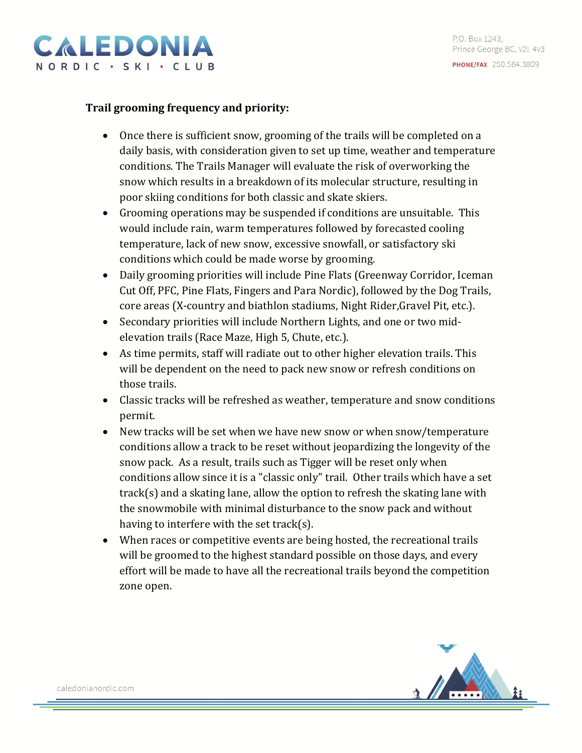

## **Trail grooming frequency and priority:**

- Once there is sufficient snow, grooming of the trails will be completed on a daily basis, with consideration given to set up time, weather and temperature conditions. The Trails Manager will evaluate the risk of overworking the snow which results in a breakdown of its molecular structure, resulting in poor skiing conditions for both classic and skate skiers.
- Grooming operations may be suspended if conditions are unsuitable. This would include rain, warm temperatures followed by forecasted cooling temperature, lack of new snow, excessive snowfall, or satisfactory ski conditions which could be made worse by grooming.
- Daily grooming priorities will include Pine Flats (Greenway Corridor, Iceman Cut Off, PFC, Pine Flats, Fingers and Para Nordic), followed by the Dog Trails, core areas (X-country and biathlon stadiums, Night Rider,Gravel Pit, etc.).
- Secondary priorities will include Northern Lights, and one or two midelevation trails (Race Maze, High 5, Chute, etc.).
- As time permits, staff will radiate out to other higher elevation trails. This will be dependent on the need to pack new snow or refresh conditions on those trails.
- Classic tracks will be refreshed as weather, temperature and snow conditions permit.
- New tracks will be set when we have new snow or when snow/temperature conditions allow a track to be reset without jeopardizing the longevity of the snow pack. As a result, trails such as Tigger will be reset only when conditions allow since it is a "classic only" trail. Other trails which have a set track(s) and a skating lane, allow the option to refresh the skating lane with the snowmobile with minimal disturbance to the snow pack and without having to interfere with the set track(s).
- When races or competitive events are being hosted, the recreational trails will be groomed to the highest standard possible on those days, and every effort will be made to have all the recreational trails beyond the competition zone open.